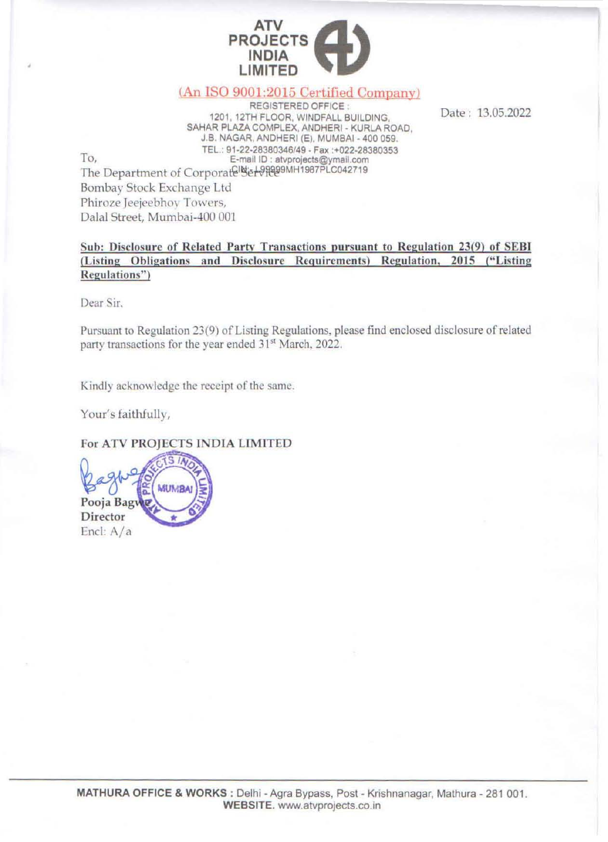

## (An ISO 9001 :2015 Certified Company)

**REGISTERED OFFICE . 1201 , 12TH FLOOR,** WINDFALL BUILDING, SAHAR PLAZA COMPLEX, ANDHERI • KURLA ROAD, J.B. NAGAR, ANDHERI (E), MUMBAI - 400 059. **TEl.: 91·22·28380346/49 - Fax :+022-28380353 0,** E-mail 10 **: atvproJects@ymalLcom**  The Department of Corporate Set 98899MH1987PLC042719 Bombay Stock Exchange Ltd

Date: 13.05.2022

**Sub: Disclosure of Related Partv Transactions pursuant to Regulation 23(9) of SEDI (Listing Obligations and Disclosure Requirements) Regulation, 2015 ("Listing**   $Regulations"$ 

**Dear Sir.** 

To,

•

Pursuant to Regulation 23(9) of Listing Regulations, please find enclosed disclosure of related party transactions for the year ended 31<sup>st</sup> March, 2022.

Kindly acknowledge the receipt of the same.

Your's faithfully,

For ATV PROJECTS INDIA LIMITED

**MUMBA Pooja Bagwe Director**  End: A/a

Phiroze Jeejeebhoy Towers, Dalal Street, Mumbai-400 001